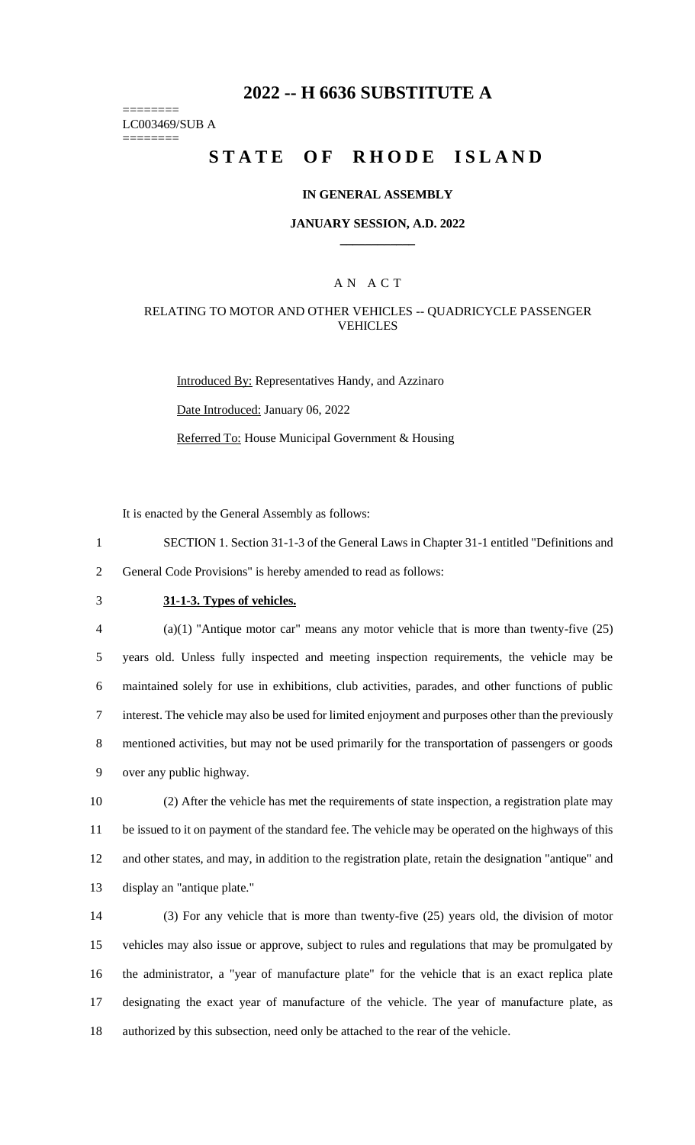# **2022 -- H 6636 SUBSTITUTE A**

======== LC003469/SUB A ========

# **STATE OF RHODE ISLAND**

#### **IN GENERAL ASSEMBLY**

#### **JANUARY SESSION, A.D. 2022 \_\_\_\_\_\_\_\_\_\_\_\_**

### A N A C T

#### RELATING TO MOTOR AND OTHER VEHICLES -- QUADRICYCLE PASSENGER VEHICLES

Introduced By: Representatives Handy, and Azzinaro Date Introduced: January 06, 2022 Referred To: House Municipal Government & Housing

It is enacted by the General Assembly as follows:

1 SECTION 1. Section 31-1-3 of the General Laws in Chapter 31-1 entitled "Definitions and 2 General Code Provisions" is hereby amended to read as follows:

## 3 **31-1-3. Types of vehicles.**

 (a)(1) "Antique motor car" means any motor vehicle that is more than twenty-five (25) years old. Unless fully inspected and meeting inspection requirements, the vehicle may be maintained solely for use in exhibitions, club activities, parades, and other functions of public interest. The vehicle may also be used for limited enjoyment and purposes other than the previously mentioned activities, but may not be used primarily for the transportation of passengers or goods over any public highway.

 (2) After the vehicle has met the requirements of state inspection, a registration plate may be issued to it on payment of the standard fee. The vehicle may be operated on the highways of this and other states, and may, in addition to the registration plate, retain the designation "antique" and display an "antique plate."

 (3) For any vehicle that is more than twenty-five (25) years old, the division of motor vehicles may also issue or approve, subject to rules and regulations that may be promulgated by the administrator, a "year of manufacture plate" for the vehicle that is an exact replica plate designating the exact year of manufacture of the vehicle. The year of manufacture plate, as authorized by this subsection, need only be attached to the rear of the vehicle.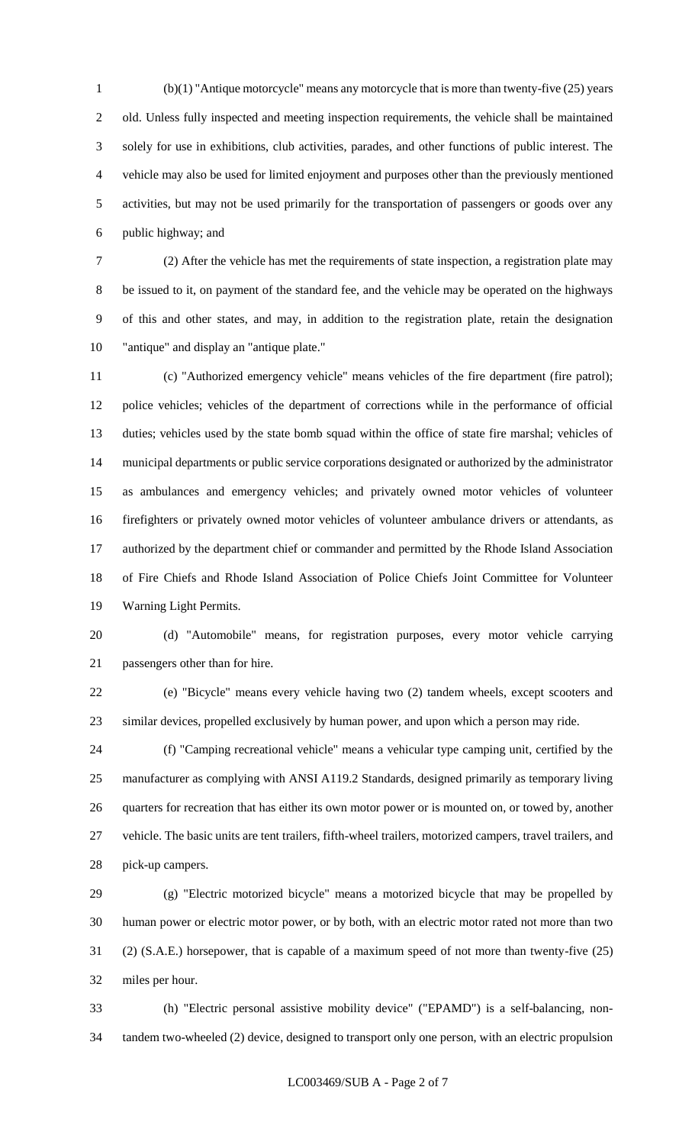(b)(1) "Antique motorcycle" means any motorcycle that is more than twenty-five (25) years old. Unless fully inspected and meeting inspection requirements, the vehicle shall be maintained solely for use in exhibitions, club activities, parades, and other functions of public interest. The vehicle may also be used for limited enjoyment and purposes other than the previously mentioned activities, but may not be used primarily for the transportation of passengers or goods over any public highway; and

 (2) After the vehicle has met the requirements of state inspection, a registration plate may be issued to it, on payment of the standard fee, and the vehicle may be operated on the highways of this and other states, and may, in addition to the registration plate, retain the designation "antique" and display an "antique plate."

 (c) "Authorized emergency vehicle" means vehicles of the fire department (fire patrol); police vehicles; vehicles of the department of corrections while in the performance of official duties; vehicles used by the state bomb squad within the office of state fire marshal; vehicles of municipal departments or public service corporations designated or authorized by the administrator as ambulances and emergency vehicles; and privately owned motor vehicles of volunteer firefighters or privately owned motor vehicles of volunteer ambulance drivers or attendants, as authorized by the department chief or commander and permitted by the Rhode Island Association of Fire Chiefs and Rhode Island Association of Police Chiefs Joint Committee for Volunteer Warning Light Permits.

 (d) "Automobile" means, for registration purposes, every motor vehicle carrying passengers other than for hire.

 (e) "Bicycle" means every vehicle having two (2) tandem wheels, except scooters and similar devices, propelled exclusively by human power, and upon which a person may ride.

 (f) "Camping recreational vehicle" means a vehicular type camping unit, certified by the manufacturer as complying with ANSI A119.2 Standards, designed primarily as temporary living quarters for recreation that has either its own motor power or is mounted on, or towed by, another vehicle. The basic units are tent trailers, fifth-wheel trailers, motorized campers, travel trailers, and pick-up campers.

 (g) "Electric motorized bicycle" means a motorized bicycle that may be propelled by human power or electric motor power, or by both, with an electric motor rated not more than two (2) (S.A.E.) horsepower, that is capable of a maximum speed of not more than twenty-five (25) miles per hour.

 (h) "Electric personal assistive mobility device" ("EPAMD") is a self-balancing, non-tandem two-wheeled (2) device, designed to transport only one person, with an electric propulsion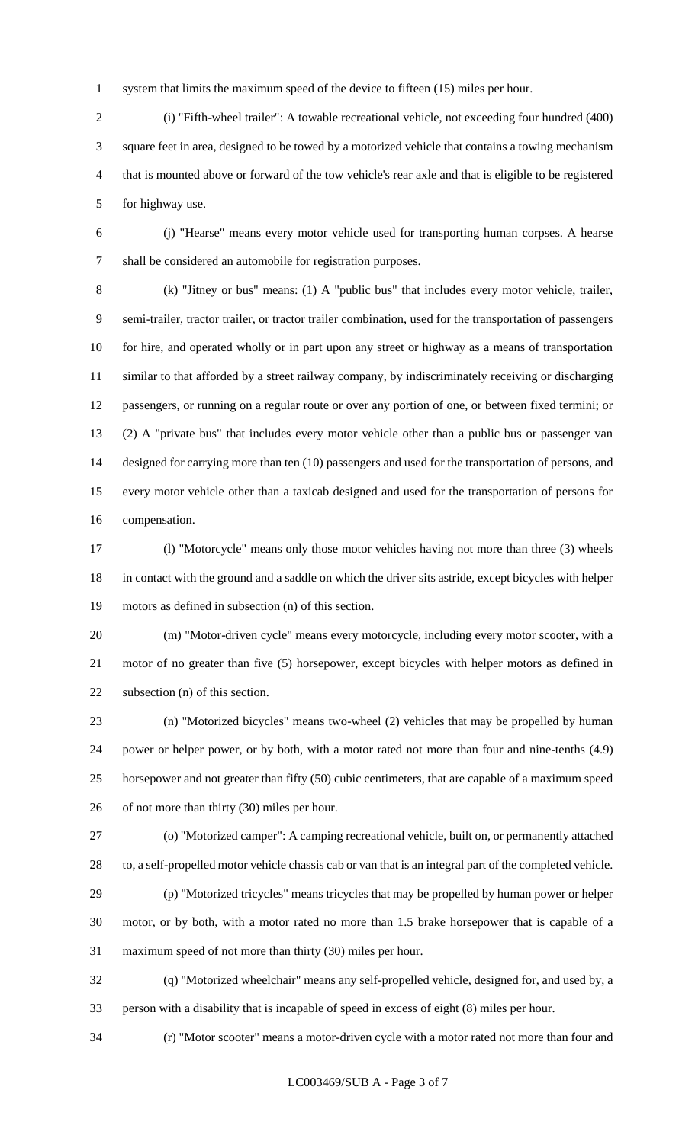system that limits the maximum speed of the device to fifteen (15) miles per hour.

 (i) "Fifth-wheel trailer": A towable recreational vehicle, not exceeding four hundred (400) square feet in area, designed to be towed by a motorized vehicle that contains a towing mechanism that is mounted above or forward of the tow vehicle's rear axle and that is eligible to be registered for highway use.

 (j) "Hearse" means every motor vehicle used for transporting human corpses. A hearse shall be considered an automobile for registration purposes.

 (k) "Jitney or bus" means: (1) A "public bus" that includes every motor vehicle, trailer, semi-trailer, tractor trailer, or tractor trailer combination, used for the transportation of passengers for hire, and operated wholly or in part upon any street or highway as a means of transportation similar to that afforded by a street railway company, by indiscriminately receiving or discharging passengers, or running on a regular route or over any portion of one, or between fixed termini; or (2) A "private bus" that includes every motor vehicle other than a public bus or passenger van designed for carrying more than ten (10) passengers and used for the transportation of persons, and every motor vehicle other than a taxicab designed and used for the transportation of persons for compensation.

 (l) "Motorcycle" means only those motor vehicles having not more than three (3) wheels in contact with the ground and a saddle on which the driver sits astride, except bicycles with helper motors as defined in subsection (n) of this section.

 (m) "Motor-driven cycle" means every motorcycle, including every motor scooter, with a motor of no greater than five (5) horsepower, except bicycles with helper motors as defined in subsection (n) of this section.

 (n) "Motorized bicycles" means two-wheel (2) vehicles that may be propelled by human power or helper power, or by both, with a motor rated not more than four and nine-tenths (4.9) horsepower and not greater than fifty (50) cubic centimeters, that are capable of a maximum speed of not more than thirty (30) miles per hour.

 (o) "Motorized camper": A camping recreational vehicle, built on, or permanently attached to, a self-propelled motor vehicle chassis cab or van that is an integral part of the completed vehicle.

 (p) "Motorized tricycles" means tricycles that may be propelled by human power or helper motor, or by both, with a motor rated no more than 1.5 brake horsepower that is capable of a maximum speed of not more than thirty (30) miles per hour.

 (q) "Motorized wheelchair" means any self-propelled vehicle, designed for, and used by, a person with a disability that is incapable of speed in excess of eight (8) miles per hour.

(r) "Motor scooter" means a motor-driven cycle with a motor rated not more than four and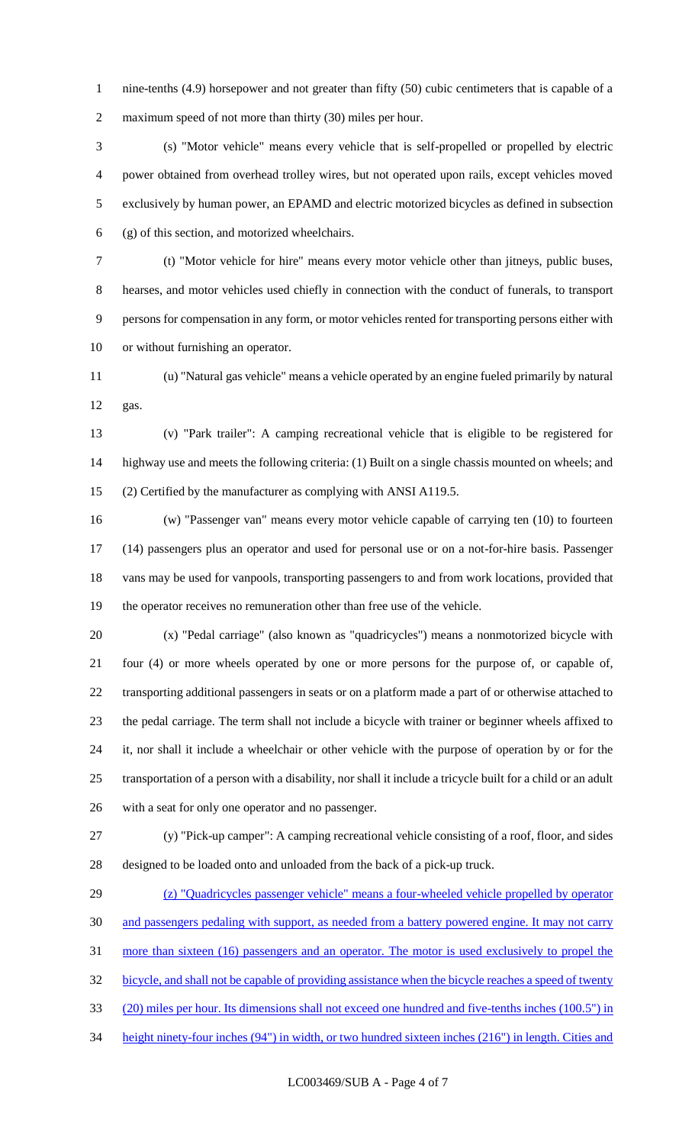1 nine-tenths (4.9) horsepower and not greater than fifty (50) cubic centimeters that is capable of a maximum speed of not more than thirty (30) miles per hour.

 (s) "Motor vehicle" means every vehicle that is self-propelled or propelled by electric power obtained from overhead trolley wires, but not operated upon rails, except vehicles moved exclusively by human power, an EPAMD and electric motorized bicycles as defined in subsection (g) of this section, and motorized wheelchairs.

 (t) "Motor vehicle for hire" means every motor vehicle other than jitneys, public buses, hearses, and motor vehicles used chiefly in connection with the conduct of funerals, to transport persons for compensation in any form, or motor vehicles rented for transporting persons either with or without furnishing an operator.

 (u) "Natural gas vehicle" means a vehicle operated by an engine fueled primarily by natural gas.

 (v) "Park trailer": A camping recreational vehicle that is eligible to be registered for highway use and meets the following criteria: (1) Built on a single chassis mounted on wheels; and (2) Certified by the manufacturer as complying with ANSI A119.5.

 (w) "Passenger van" means every motor vehicle capable of carrying ten (10) to fourteen (14) passengers plus an operator and used for personal use or on a not-for-hire basis. Passenger vans may be used for vanpools, transporting passengers to and from work locations, provided that the operator receives no remuneration other than free use of the vehicle.

 (x) "Pedal carriage" (also known as "quadricycles") means a nonmotorized bicycle with four (4) or more wheels operated by one or more persons for the purpose of, or capable of, transporting additional passengers in seats or on a platform made a part of or otherwise attached to the pedal carriage. The term shall not include a bicycle with trainer or beginner wheels affixed to it, nor shall it include a wheelchair or other vehicle with the purpose of operation by or for the transportation of a person with a disability, nor shall it include a tricycle built for a child or an adult with a seat for only one operator and no passenger.

 (y) "Pick-up camper": A camping recreational vehicle consisting of a roof, floor, and sides designed to be loaded onto and unloaded from the back of a pick-up truck.

 (z) "Quadricycles passenger vehicle" means a four-wheeled vehicle propelled by operator and passengers pedaling with support, as needed from a battery powered engine. It may not carry more than sixteen (16) passengers and an operator. The motor is used exclusively to propel the bicycle, and shall not be capable of providing assistance when the bicycle reaches a speed of twenty (20) miles per hour. Its dimensions shall not exceed one hundred and five-tenths inches (100.5") in height ninety-four inches (94") in width, or two hundred sixteen inches (216") in length. Cities and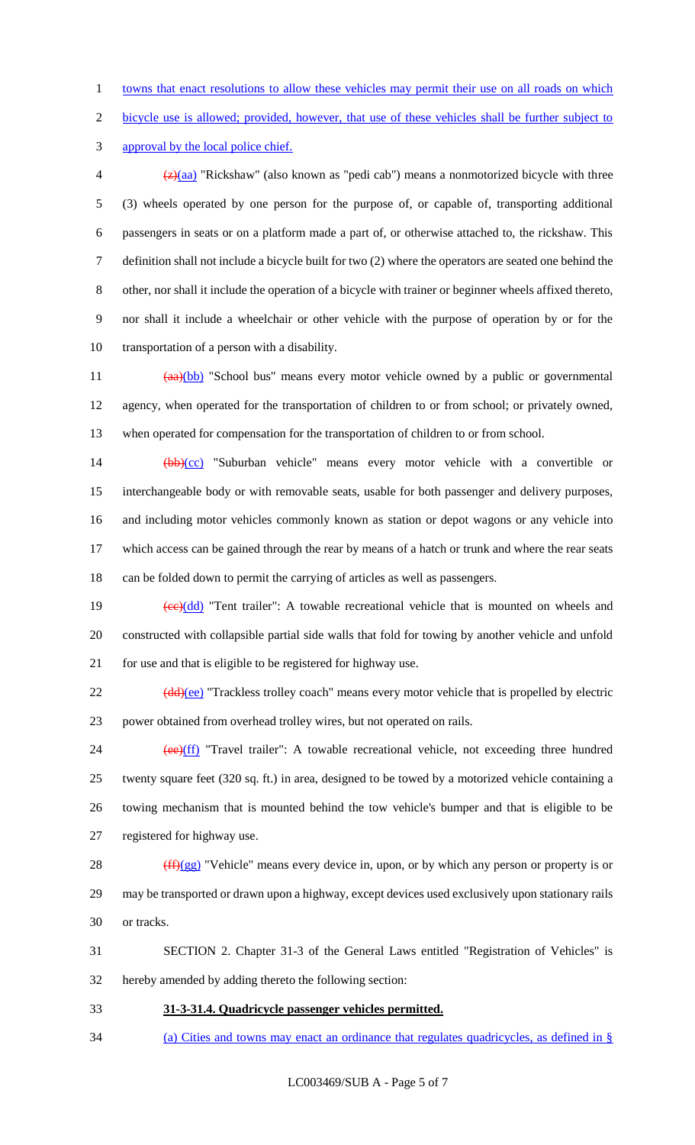towns that enact resolutions to allow these vehicles may permit their use on all roads on which

bicycle use is allowed; provided, however, that use of these vehicles shall be further subject to

approval by the local police chief.

 $\frac{1}{2}(a^2)(aa)$  "Rickshaw" (also known as "pedi cab") means a nonmotorized bicycle with three (3) wheels operated by one person for the purpose of, or capable of, transporting additional passengers in seats or on a platform made a part of, or otherwise attached to, the rickshaw. This definition shall not include a bicycle built for two (2) where the operators are seated one behind the other, nor shall it include the operation of a bicycle with trainer or beginner wheels affixed thereto, nor shall it include a wheelchair or other vehicle with the purpose of operation by or for the transportation of a person with a disability.

11 (aa)(bb) "School bus" means every motor vehicle owned by a public or governmental agency, when operated for the transportation of children to or from school; or privately owned, when operated for compensation for the transportation of children to or from school.

14 (bb)(cc) "Suburban vehicle" means every motor vehicle with a convertible or interchangeable body or with removable seats, usable for both passenger and delivery purposes, and including motor vehicles commonly known as station or depot wagons or any vehicle into which access can be gained through the rear by means of a hatch or trunk and where the rear seats can be folded down to permit the carrying of articles as well as passengers.

19  $\left(\frac{ce}{dd}\right)$  "Tent trailer": A towable recreational vehicle that is mounted on wheels and constructed with collapsible partial side walls that fold for towing by another vehicle and unfold for use and that is eligible to be registered for highway use.

22 (dd)(ee) "Trackless trolley coach" means every motor vehicle that is propelled by electric power obtained from overhead trolley wires, but not operated on rails.

24 (ee)(ff) "Travel trailer": A towable recreational vehicle, not exceeding three hundred twenty square feet (320 sq. ft.) in area, designed to be towed by a motorized vehicle containing a towing mechanism that is mounted behind the tow vehicle's bumper and that is eligible to be registered for highway use.

28  $(ff)(gg)$  "Vehicle" means every device in, upon, or by which any person or property is or may be transported or drawn upon a highway, except devices used exclusively upon stationary rails or tracks.

 SECTION 2. Chapter 31-3 of the General Laws entitled "Registration of Vehicles" is hereby amended by adding thereto the following section:

**31-3-31.4. Quadricycle passenger vehicles permitted.** 

(a) Cities and towns may enact an ordinance that regulates quadricycles, as defined in §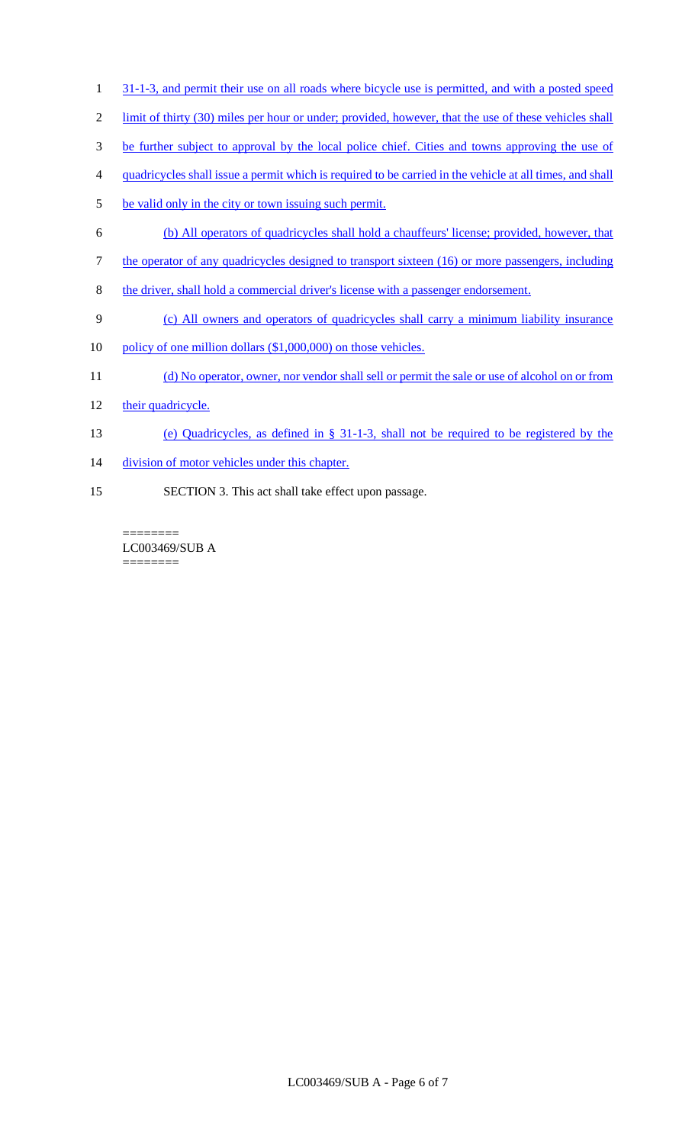- 1 31-1-3, and permit their use on all roads where bicycle use is permitted, and with a posted speed
- 2 limit of thirty (30) miles per hour or under; provided, however, that the use of these vehicles shall
- 3 be further subject to approval by the local police chief. Cities and towns approving the use of
- 4 quadricycles shall issue a permit which is required to be carried in the vehicle at all times, and shall
- 5 be valid only in the city or town issuing such permit.
- 6 (b) All operators of quadricycles shall hold a chauffeurs' license; provided, however, that
- 7 the operator of any quadricycles designed to transport sixteen (16) or more passengers, including
- 8 the driver, shall hold a commercial driver's license with a passenger endorsement.
- 9 (c) All owners and operators of quadricycles shall carry a minimum liability insurance
- 10 policy of one million dollars (\$1,000,000) on those vehicles.
- 11 (d) No operator, owner, nor vendor shall sell or permit the sale or use of alcohol on or from
- 12 their quadricycle.
- 13 (e) Quadricycles, as defined in § 31-1-3, shall not be required to be registered by the
- 14 division of motor vehicles under this chapter.
- 15 SECTION 3. This act shall take effect upon passage.

======== LC003469/SUB A ========